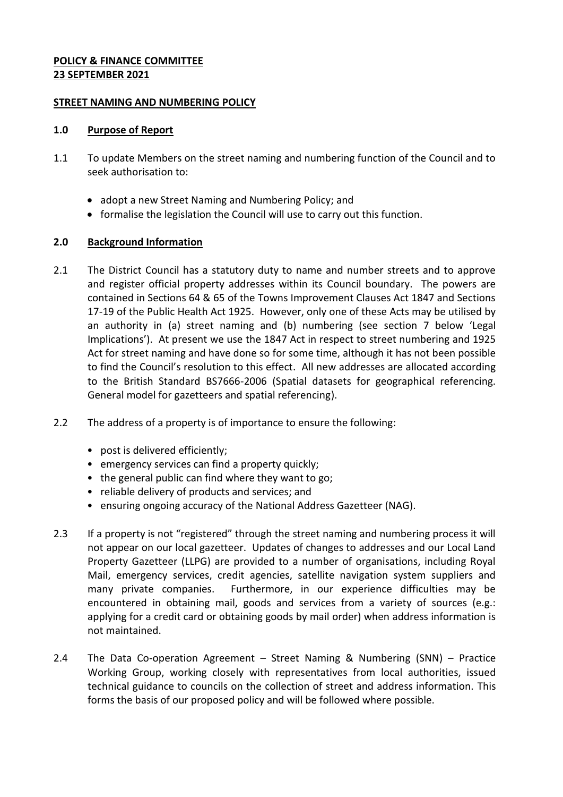#### **POLICY & FINANCE COMMITTEE 23 SEPTEMBER 2021**

#### **STREET NAMING AND NUMBERING POLICY**

#### **1.0 Purpose of Report**

- 1.1 To update Members on the street naming and numbering function of the Council and to seek authorisation to:
	- adopt a new Street Naming and Numbering Policy; and
	- formalise the legislation the Council will use to carry out this function.

# **2.0 Background Information**

- 2.1 The District Council has a statutory duty to name and number streets and to approve and register official property addresses within its Council boundary. The powers are contained in Sections 64 & 65 of the Towns Improvement Clauses Act 1847 and Sections 17-19 of the Public Health Act 1925. However, only one of these Acts may be utilised by an authority in (a) street naming and (b) numbering (see section 7 below 'Legal Implications'). At present we use the 1847 Act in respect to street numbering and 1925 Act for street naming and have done so for some time, although it has not been possible to find the Council's resolution to this effect. All new addresses are allocated according to the British Standard BS7666-2006 (Spatial datasets for geographical referencing. General model for gazetteers and spatial referencing).
- 2.2 The address of a property is of importance to ensure the following:
	- post is delivered efficiently;
	- emergency services can find a property quickly;
	- the general public can find where they want to go;
	- reliable delivery of products and services; and
	- ensuring ongoing accuracy of the National Address Gazetteer (NAG).
- 2.3 If a property is not "registered" through the street naming and numbering process it will not appear on our local gazetteer. Updates of changes to addresses and our Local Land Property Gazetteer (LLPG) are provided to a number of organisations, including Royal Mail, emergency services, credit agencies, satellite navigation system suppliers and many private companies. Furthermore, in our experience difficulties may be encountered in obtaining mail, goods and services from a variety of sources (e.g.: applying for a credit card or obtaining goods by mail order) when address information is not maintained.
- 2.4 The Data Co-operation Agreement Street Naming & Numbering (SNN) Practice Working Group, working closely with representatives from local authorities, issued technical guidance to councils on the collection of street and address information. This forms the basis of our proposed policy and will be followed where possible.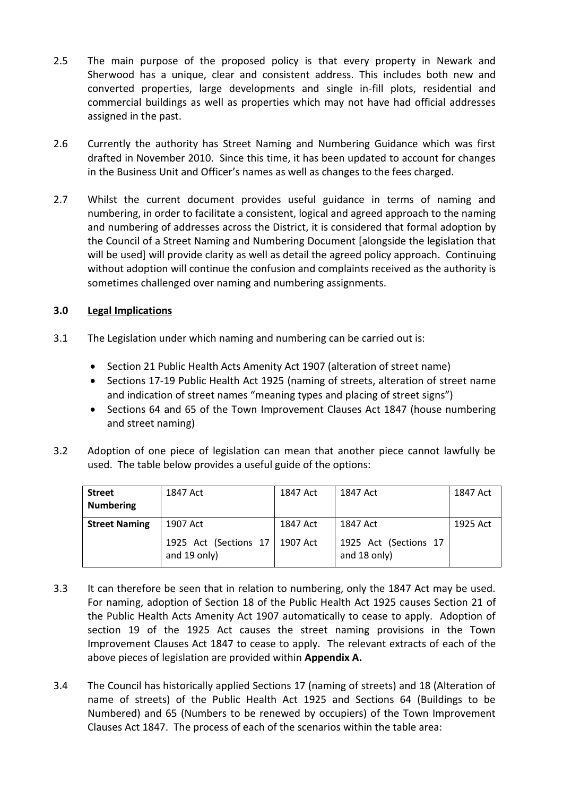- 2.5 The main purpose of the proposed policy is that every property in Newark and Sherwood has a unique, clear and consistent address. This includes both new and converted properties, large developments and single in-fill plots, residential and commercial buildings as well as properties which may not have had official addresses assigned in the past.
- 2.6 Currently the authority has Street Naming and Numbering Guidance which was first drafted in November 2010. Since this time, it has been updated to account for changes in the Business Unit and Officer's names as well as changes to the fees charged.
- 2.7 Whilst the current document provides useful guidance in terms of naming and numbering, in order to facilitate a consistent, logical and agreed approach to the naming and numbering of addresses across the District, it is considered that formal adoption by the Council of a Street Naming and Numbering Document [alongside the legislation that will be used] will provide clarity as well as detail the agreed policy approach. Continuing without adoption will continue the confusion and complaints received as the authority is sometimes challenged over naming and numbering assignments.

# **3.0 Legal Implications**

- 3.1 The Legislation under which naming and numbering can be carried out is:
	- Section 21 Public Health Acts Amenity Act 1907 (alteration of street name)
	- Sections 17-19 Public Health Act 1925 (naming of streets, alteration of street name and indication of street names "meaning types and placing of street signs")
	- Sections 64 and 65 of the Town Improvement Clauses Act 1847 (house numbering and street naming)
- 3.2 Adoption of one piece of legislation can mean that another piece cannot lawfully be used. The table below provides a useful guide of the options:

| <b>Street</b>        | 1847 Act                                         | 1847 Act | 1847 Act                              | 1847 Act |
|----------------------|--------------------------------------------------|----------|---------------------------------------|----------|
| <b>Numbering</b>     |                                                  |          |                                       |          |
| <b>Street Naming</b> | 1907 Act                                         | 1847 Act | 1847 Act                              | 1925 Act |
|                      | 1925 Act (Sections 17   1907 Act<br>and 19 only) |          | 1925 Act (Sections 17<br>and 18 only) |          |

- 3.3 It can therefore be seen that in relation to numbering, only the 1847 Act may be used. For naming, adoption of Section 18 of the Public Health Act 1925 causes Section 21 of the Public Health Acts Amenity Act 1907 automatically to cease to apply. Adoption of section 19 of the 1925 Act causes the street naming provisions in the Town Improvement Clauses Act 1847 to cease to apply. The relevant extracts of each of the above pieces of legislation are provided within **Appendix A.**
- 3.4 The Council has historically applied Sections 17 (naming of streets) and 18 (Alteration of name of streets) of the Public Health Act 1925 and Sections 64 (Buildings to be Numbered) and 65 (Numbers to be renewed by occupiers) of the Town Improvement Clauses Act 1847. The process of each of the scenarios within the table area: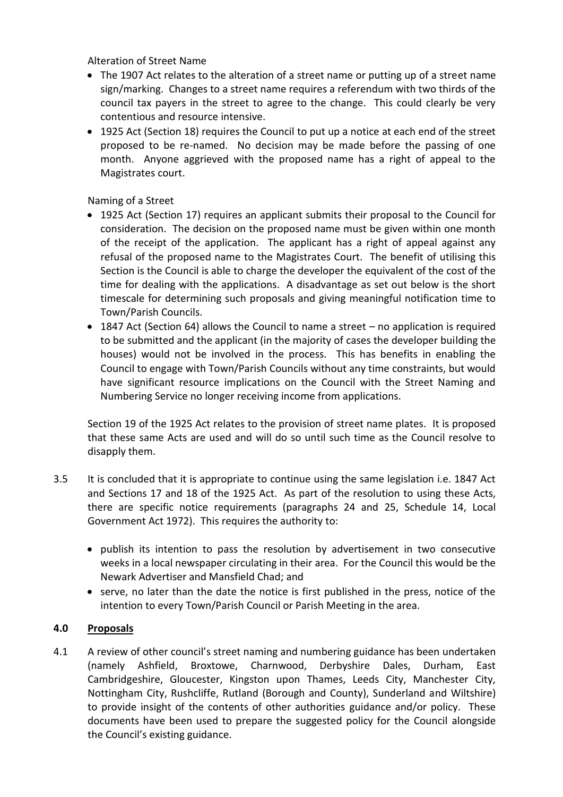Alteration of Street Name

- The 1907 Act relates to the alteration of a street name or putting up of a street name sign/marking. Changes to a street name requires a referendum with two thirds of the council tax payers in the street to agree to the change. This could clearly be very contentious and resource intensive.
- 1925 Act (Section 18) requires the Council to put up a notice at each end of the street proposed to be re-named. No decision may be made before the passing of one month. Anyone aggrieved with the proposed name has a right of appeal to the Magistrates court.

Naming of a Street

- 1925 Act (Section 17) requires an applicant submits their proposal to the Council for consideration. The decision on the proposed name must be given within one month of the receipt of the application. The applicant has a right of appeal against any refusal of the proposed name to the Magistrates Court. The benefit of utilising this Section is the Council is able to charge the developer the equivalent of the cost of the time for dealing with the applications. A disadvantage as set out below is the short timescale for determining such proposals and giving meaningful notification time to Town/Parish Councils.
- 1847 Act (Section 64) allows the Council to name a street no application is required to be submitted and the applicant (in the majority of cases the developer building the houses) would not be involved in the process. This has benefits in enabling the Council to engage with Town/Parish Councils without any time constraints, but would have significant resource implications on the Council with the Street Naming and Numbering Service no longer receiving income from applications.

Section 19 of the 1925 Act relates to the provision of street name plates. It is proposed that these same Acts are used and will do so until such time as the Council resolve to disapply them.

- 3.5 It is concluded that it is appropriate to continue using the same legislation i.e. 1847 Act and Sections 17 and 18 of the 1925 Act. As part of the resolution to using these Acts, there are specific notice requirements (paragraphs 24 and 25, Schedule 14, Local Government Act 1972). This requires the authority to:
	- publish its intention to pass the resolution by advertisement in two consecutive weeks in a local newspaper circulating in their area. For the Council this would be the Newark Advertiser and Mansfield Chad; and
	- serve, no later than the date the notice is first published in the press, notice of the intention to every Town/Parish Council or Parish Meeting in the area.

# **4.0 Proposals**

4.1 A review of other council's street naming and numbering guidance has been undertaken (namely Ashfield, Broxtowe, Charnwood, Derbyshire Dales, Durham, East Cambridgeshire, Gloucester, Kingston upon Thames, Leeds City, Manchester City, Nottingham City, Rushcliffe, Rutland (Borough and County), Sunderland and Wiltshire) to provide insight of the contents of other authorities guidance and/or policy. These documents have been used to prepare the suggested policy for the Council alongside the Council's existing guidance.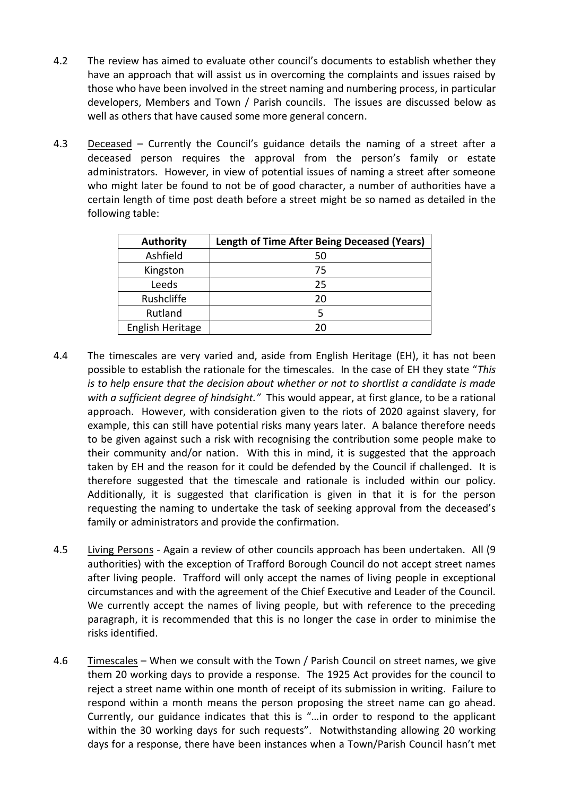- 4.2 The review has aimed to evaluate other council's documents to establish whether they have an approach that will assist us in overcoming the complaints and issues raised by those who have been involved in the street naming and numbering process, in particular developers, Members and Town / Parish councils. The issues are discussed below as well as others that have caused some more general concern.
- 4.3 Deceased Currently the Council's guidance details the naming of a street after a deceased person requires the approval from the person's family or estate administrators. However, in view of potential issues of naming a street after someone who might later be found to not be of good character, a number of authorities have a certain length of time post death before a street might be so named as detailed in the following table:

| <b>Authority</b> | <b>Length of Time After Being Deceased (Years)</b> |
|------------------|----------------------------------------------------|
| Ashfield         | 50                                                 |
| Kingston         | 75                                                 |
| Leeds            | 25                                                 |
| Rushcliffe       | 20                                                 |
| Rutland          |                                                    |
| English Heritage | 20                                                 |

- 4.4 The timescales are very varied and, aside from English Heritage (EH), it has not been possible to establish the rationale for the timescales. In the case of EH they state "*This is to help ensure that the decision about whether or not to shortlist a candidate is made with a sufficient degree of hindsight."* This would appear, at first glance, to be a rational approach. However, with consideration given to the riots of 2020 against slavery, for example, this can still have potential risks many years later. A balance therefore needs to be given against such a risk with recognising the contribution some people make to their community and/or nation. With this in mind, it is suggested that the approach taken by EH and the reason for it could be defended by the Council if challenged. It is therefore suggested that the timescale and rationale is included within our policy. Additionally, it is suggested that clarification is given in that it is for the person requesting the naming to undertake the task of seeking approval from the deceased's family or administrators and provide the confirmation.
- 4.5 Living Persons Again a review of other councils approach has been undertaken. All (9 authorities) with the exception of Trafford Borough Council do not accept street names after living people. Trafford will only accept the names of living people in exceptional circumstances and with the agreement of the Chief Executive and Leader of the Council. We currently accept the names of living people, but with reference to the preceding paragraph, it is recommended that this is no longer the case in order to minimise the risks identified.
- 4.6 Timescales When we consult with the Town / Parish Council on street names, we give them 20 working days to provide a response. The 1925 Act provides for the council to reject a street name within one month of receipt of its submission in writing. Failure to respond within a month means the person proposing the street name can go ahead. Currently, our guidance indicates that this is "…in order to respond to the applicant within the 30 working days for such requests". Notwithstanding allowing 20 working days for a response, there have been instances when a Town/Parish Council hasn't met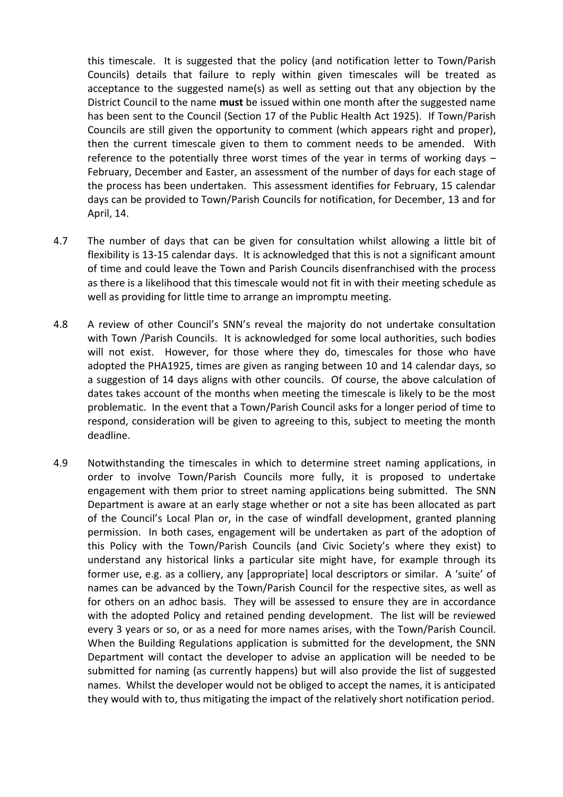this timescale. It is suggested that the policy (and notification letter to Town/Parish Councils) details that failure to reply within given timescales will be treated as acceptance to the suggested name(s) as well as setting out that any objection by the District Council to the name **must** be issued within one month after the suggested name has been sent to the Council (Section 17 of the Public Health Act 1925). If Town/Parish Councils are still given the opportunity to comment (which appears right and proper), then the current timescale given to them to comment needs to be amended. With reference to the potentially three worst times of the year in terms of working days – February, December and Easter, an assessment of the number of days for each stage of the process has been undertaken. This assessment identifies for February, 15 calendar days can be provided to Town/Parish Councils for notification, for December, 13 and for April, 14.

- 4.7 The number of days that can be given for consultation whilst allowing a little bit of flexibility is 13-15 calendar days. It is acknowledged that this is not a significant amount of time and could leave the Town and Parish Councils disenfranchised with the process as there is a likelihood that this timescale would not fit in with their meeting schedule as well as providing for little time to arrange an impromptu meeting.
- 4.8 A review of other Council's SNN's reveal the majority do not undertake consultation with Town /Parish Councils. It is acknowledged for some local authorities, such bodies will not exist. However, for those where they do, timescales for those who have adopted the PHA1925, times are given as ranging between 10 and 14 calendar days, so a suggestion of 14 days aligns with other councils. Of course, the above calculation of dates takes account of the months when meeting the timescale is likely to be the most problematic. In the event that a Town/Parish Council asks for a longer period of time to respond, consideration will be given to agreeing to this, subject to meeting the month deadline.
- 4.9 Notwithstanding the timescales in which to determine street naming applications, in order to involve Town/Parish Councils more fully, it is proposed to undertake engagement with them prior to street naming applications being submitted. The SNN Department is aware at an early stage whether or not a site has been allocated as part of the Council's Local Plan or, in the case of windfall development, granted planning permission. In both cases, engagement will be undertaken as part of the adoption of this Policy with the Town/Parish Councils (and Civic Society's where they exist) to understand any historical links a particular site might have, for example through its former use, e.g. as a colliery, any [appropriate] local descriptors or similar. A 'suite' of names can be advanced by the Town/Parish Council for the respective sites, as well as for others on an adhoc basis. They will be assessed to ensure they are in accordance with the adopted Policy and retained pending development. The list will be reviewed every 3 years or so, or as a need for more names arises, with the Town/Parish Council. When the Building Regulations application is submitted for the development, the SNN Department will contact the developer to advise an application will be needed to be submitted for naming (as currently happens) but will also provide the list of suggested names. Whilst the developer would not be obliged to accept the names, it is anticipated they would with to, thus mitigating the impact of the relatively short notification period.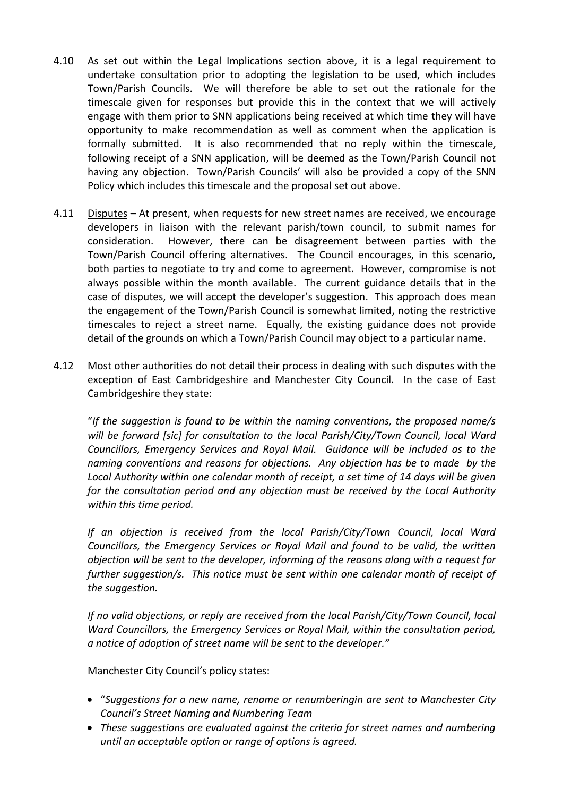- 4.10 As set out within the Legal Implications section above, it is a legal requirement to undertake consultation prior to adopting the legislation to be used, which includes Town/Parish Councils. We will therefore be able to set out the rationale for the timescale given for responses but provide this in the context that we will actively engage with them prior to SNN applications being received at which time they will have opportunity to make recommendation as well as comment when the application is formally submitted. It is also recommended that no reply within the timescale, following receipt of a SNN application, will be deemed as the Town/Parish Council not having any objection. Town/Parish Councils' will also be provided a copy of the SNN Policy which includes this timescale and the proposal set out above.
- 4.11 Disputes **–** At present, when requests for new street names are received, we encourage developers in liaison with the relevant parish/town council, to submit names for consideration. However, there can be disagreement between parties with the Town/Parish Council offering alternatives. The Council encourages, in this scenario, both parties to negotiate to try and come to agreement. However, compromise is not always possible within the month available. The current guidance details that in the case of disputes, we will accept the developer's suggestion. This approach does mean the engagement of the Town/Parish Council is somewhat limited, noting the restrictive timescales to reject a street name. Equally, the existing guidance does not provide detail of the grounds on which a Town/Parish Council may object to a particular name.
- 4.12 Most other authorities do not detail their process in dealing with such disputes with the exception of East Cambridgeshire and Manchester City Council. In the case of East Cambridgeshire they state:

"*If the suggestion is found to be within the naming conventions, the proposed name/s will be forward [sic] for consultation to the local Parish/City/Town Council, local Ward Councillors, Emergency Services and Royal Mail. Guidance will be included as to the naming conventions and reasons for objections. Any objection has be to made by the Local Authority within one calendar month of receipt, a set time of 14 days will be given for the consultation period and any objection must be received by the Local Authority within this time period.*

*If an objection is received from the local Parish/City/Town Council, local Ward Councillors, the Emergency Services or Royal Mail and found to be valid, the written objection will be sent to the developer, informing of the reasons along with a request for further suggestion/s. This notice must be sent within one calendar month of receipt of the suggestion.*

*If no valid objections, or reply are received from the local Parish/City/Town Council, local Ward Councillors, the Emergency Services or Royal Mail, within the consultation period, a notice of adoption of street name will be sent to the developer."*

Manchester City Council's policy states:

- "*Suggestions for a new name, rename or renumberingin are sent to Manchester City Council's Street Naming and Numbering Team*
- *These suggestions are evaluated against the criteria for street names and numbering until an acceptable option or range of options is agreed.*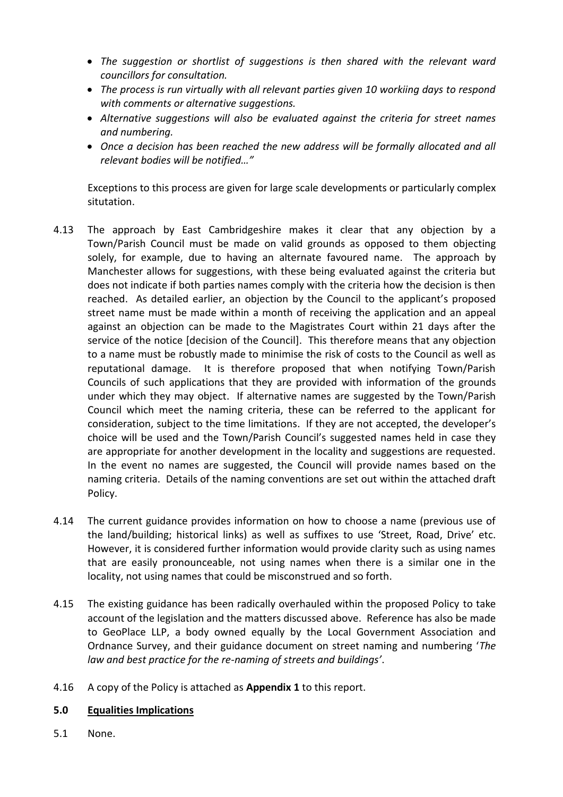- *The suggestion or shortlist of suggestions is then shared with the relevant ward councillors for consultation.*
- *The process is run virtually with all relevant parties given 10 workiing days to respond with comments or alternative suggestions.*
- *Alternative suggestions will also be evaluated against the criteria for street names and numbering.*
- *Once a decision has been reached the new address will be formally allocated and all relevant bodies will be notified…"*

Exceptions to this process are given for large scale developments or particularly complex situtation.

- 4.13 The approach by East Cambridgeshire makes it clear that any objection by a Town/Parish Council must be made on valid grounds as opposed to them objecting solely, for example, due to having an alternate favoured name. The approach by Manchester allows for suggestions, with these being evaluated against the criteria but does not indicate if both parties names comply with the criteria how the decision is then reached. As detailed earlier, an objection by the Council to the applicant's proposed street name must be made within a month of receiving the application and an appeal against an objection can be made to the Magistrates Court within 21 days after the service of the notice [decision of the Council]. This therefore means that any objection to a name must be robustly made to minimise the risk of costs to the Council as well as reputational damage. It is therefore proposed that when notifying Town/Parish Councils of such applications that they are provided with information of the grounds under which they may object. If alternative names are suggested by the Town/Parish Council which meet the naming criteria, these can be referred to the applicant for consideration, subject to the time limitations. If they are not accepted, the developer's choice will be used and the Town/Parish Council's suggested names held in case they are appropriate for another development in the locality and suggestions are requested. In the event no names are suggested, the Council will provide names based on the naming criteria. Details of the naming conventions are set out within the attached draft Policy.
- 4.14 The current guidance provides information on how to choose a name (previous use of the land/building; historical links) as well as suffixes to use 'Street, Road, Drive' etc. However, it is considered further information would provide clarity such as using names that are easily pronounceable, not using names when there is a similar one in the locality, not using names that could be misconstrued and so forth.
- 4.15 The existing guidance has been radically overhauled within the proposed Policy to take account of the legislation and the matters discussed above. Reference has also be made to GeoPlace LLP, a body owned equally by the Local Government Association and Ordnance Survey, and their guidance document on street naming and numbering '*The law and best practice for the re-naming of streets and buildings'*.
- 4.16 A copy of the Policy is attached as **Appendix 1** to this report.

#### **5.0 Equalities Implications**

5.1 None.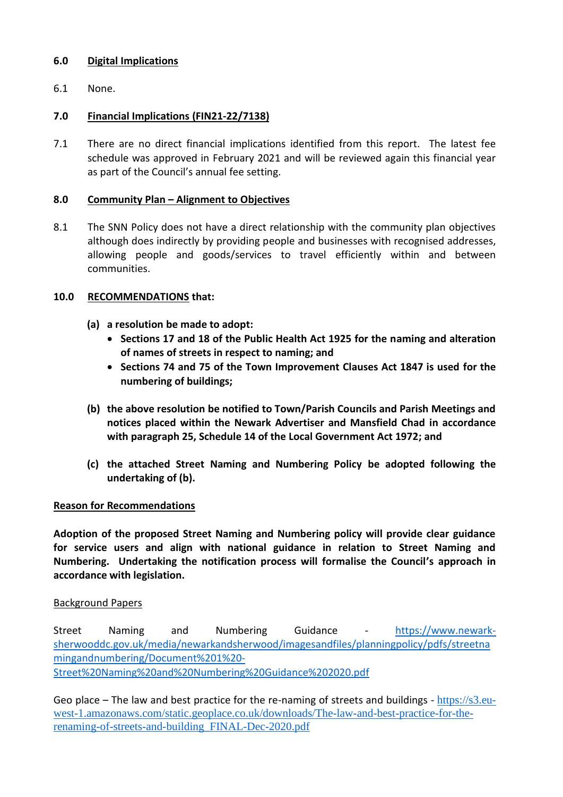### **6.0 Digital Implications**

6.1 None.

# **7.0 Financial Implications (FIN21-22/7138)**

7.1 There are no direct financial implications identified from this report. The latest fee schedule was approved in February 2021 and will be reviewed again this financial year as part of the Council's annual fee setting.

#### **8.0 Community Plan – Alignment to Objectives**

8.1 The SNN Policy does not have a direct relationship with the community plan objectives although does indirectly by providing people and businesses with recognised addresses, allowing people and goods/services to travel efficiently within and between communities.

### **10.0 RECOMMENDATIONS that:**

- **(a) a resolution be made to adopt:**
	- **Sections 17 and 18 of the Public Health Act 1925 for the naming and alteration of names of streets in respect to naming; and**
	- **Sections 74 and 75 of the Town Improvement Clauses Act 1847 is used for the numbering of buildings;**
- **(b) the above resolution be notified to Town/Parish Councils and Parish Meetings and notices placed within the Newark Advertiser and Mansfield Chad in accordance with paragraph 25, Schedule 14 of the Local Government Act 1972; and**
- **(c) the attached Street Naming and Numbering Policy be adopted following the undertaking of (b).**

#### **Reason for Recommendations**

**Adoption of the proposed Street Naming and Numbering policy will provide clear guidance for service users and align with national guidance in relation to Street Naming and Numbering. Undertaking the notification process will formalise the Council's approach in accordance with legislation.** 

#### Background Papers

Street Naming and Numbering Guidance - [https://www.newark](https://www.newark-sherwooddc.gov.uk/media/newarkandsherwood/imagesandfiles/planningpolicy/pdfs/streetnamingandnumbering/Document%201%20-Street%20Naming%20and%20Numbering%20Guidance%202020.pdf)[sherwooddc.gov.uk/media/newarkandsherwood/imagesandfiles/planningpolicy/pdfs/streetna](https://www.newark-sherwooddc.gov.uk/media/newarkandsherwood/imagesandfiles/planningpolicy/pdfs/streetnamingandnumbering/Document%201%20-Street%20Naming%20and%20Numbering%20Guidance%202020.pdf) [mingandnumbering/Document%201%20-](https://www.newark-sherwooddc.gov.uk/media/newarkandsherwood/imagesandfiles/planningpolicy/pdfs/streetnamingandnumbering/Document%201%20-Street%20Naming%20and%20Numbering%20Guidance%202020.pdf) [Street%20Naming%20and%20Numbering%20Guidance%202020.pdf](https://www.newark-sherwooddc.gov.uk/media/newarkandsherwood/imagesandfiles/planningpolicy/pdfs/streetnamingandnumbering/Document%201%20-Street%20Naming%20and%20Numbering%20Guidance%202020.pdf)

Geo place – The law and best practice for the re-naming of streets and buildings - [https://s3.eu](https://s3.eu-west-1.amazonaws.com/static.geoplace.co.uk/downloads/The-law-and-best-practice-for-the-renaming-of-streets-and-building_FINAL-Dec-2020.pdf)[west-1.amazonaws.com/static.geoplace.co.uk/downloads/The-law-and-best-practice-for-the](https://s3.eu-west-1.amazonaws.com/static.geoplace.co.uk/downloads/The-law-and-best-practice-for-the-renaming-of-streets-and-building_FINAL-Dec-2020.pdf)[renaming-of-streets-and-building\\_FINAL-Dec-2020.pdf](https://s3.eu-west-1.amazonaws.com/static.geoplace.co.uk/downloads/The-law-and-best-practice-for-the-renaming-of-streets-and-building_FINAL-Dec-2020.pdf)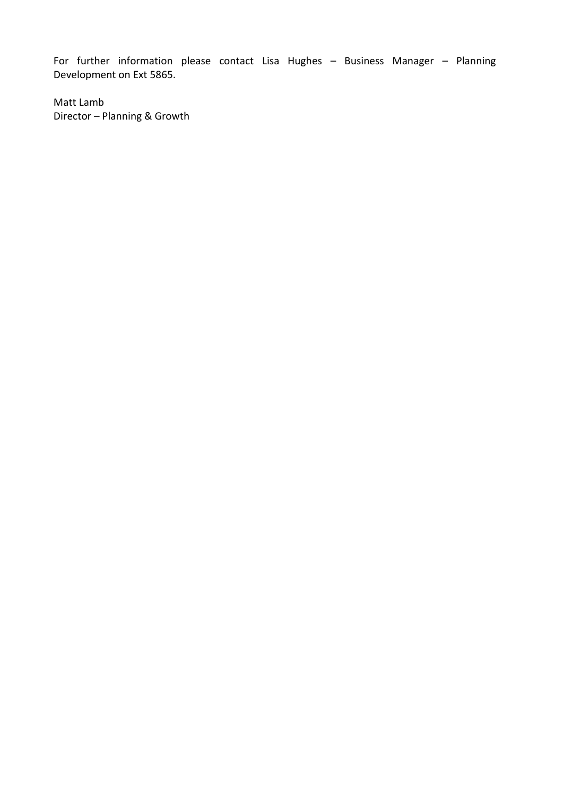For further information please contact Lisa Hughes – Business Manager – Planning Development on Ext 5865.

Matt Lamb Director – Planning & Growth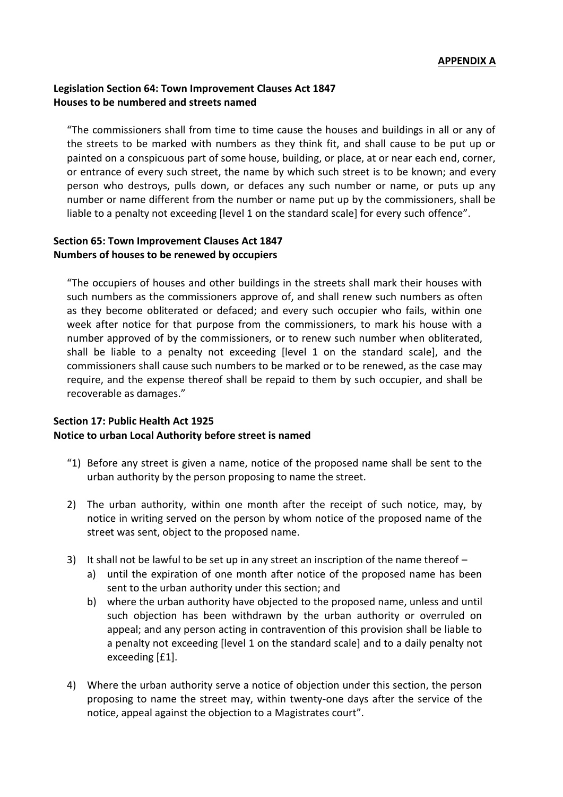### **Legislation Section 64: Town Improvement Clauses Act 1847 Houses to be numbered and streets named**

"The commissioners shall from time to time cause the houses and buildings in all or any of the streets to be marked with numbers as they think fit, and shall cause to be put up or painted on a conspicuous part of some house, building, or place, at or near each end, corner, or entrance of every such street, the name by which such street is to be known; and every person who destroys, pulls down, or defaces any such number or name, or puts up any number or name different from the number or name put up by the commissioners, shall be liable to a penalty not exceeding [level 1 on the standard scale] for every such offence".

### **Section 65: Town Improvement Clauses Act 1847 Numbers of houses to be renewed by occupiers**

"The occupiers of houses and other buildings in the streets shall mark their houses with such numbers as the commissioners approve of, and shall renew such numbers as often as they become obliterated or defaced; and every such occupier who fails, within one week after notice for that purpose from the commissioners, to mark his house with a number approved of by the commissioners, or to renew such number when obliterated, shall be liable to a penalty not exceeding [level 1 on the standard scale], and the commissioners shall cause such numbers to be marked or to be renewed, as the case may require, and the expense thereof shall be repaid to them by such occupier, and shall be recoverable as damages."

### **Section 17: Public Health Act 1925 Notice to urban Local Authority before street is named**

- "1) Before any street is given a name, notice of the proposed name shall be sent to the urban authority by the person proposing to name the street.
- 2) The urban authority, within one month after the receipt of such notice, may, by notice in writing served on the person by whom notice of the proposed name of the street was sent, object to the proposed name.
- 3) It shall not be lawful to be set up in any street an inscription of the name thereof
	- a) until the expiration of one month after notice of the proposed name has been sent to the urban authority under this section; and
	- b) where the urban authority have objected to the proposed name, unless and until such objection has been withdrawn by the urban authority or overruled on appeal; and any person acting in contravention of this provision shall be liable to a penalty not exceeding [level 1 on the standard scale] and to a daily penalty not exceeding [£1].
- 4) Where the urban authority serve a notice of objection under this section, the person proposing to name the street may, within twenty-one days after the service of the notice, appeal against the objection to a Magistrates court".